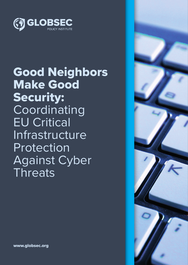

# Good Neighbors Make Good Security: Coordinating EU Critical Infrastructure Protection Against Cyber **Threats**



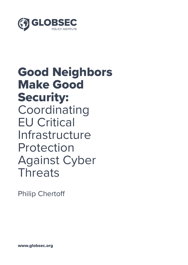

# Good Neighbors Make Good Security: Coordinating EU Critical Infrastructure Protection Against Cyber **Threats**

Philip Chertoff

www.globsec.org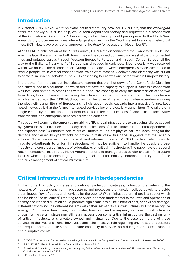## Introduction

In October 2016, Meyer Werft Shipyard notified electricity provider, E.ON Netz, that the *Norwegian Pearl*, their newly-built cruise ship, would soon depart their factory and requested a disconnection of the Conneforde Diele 380 kV double line, so that the ship could pass upriver to the North Sea.<sup>1</sup> A mandatory procedure in cases where large ships, such as the *Pearl*, are set to approach electrical lines, E.ON Netz gave provisional approval to the *Pearl* for passage on November 5<sup>th</sup>.

At 9:38 PM, in anticipation of the *Pearl*'s arrival, E.ON Netz disconnected the Conneforde-Diele line. A minute later, the alarms went off. Transmission lines tripped both east and west of the disconnected lines and outages spread through Western Europe to Portugal and through Central Europe, all the way to the Balkans. Nearly half of Europe was shrouded in darkness. Most electricity was restored within two hours of the disconnection. During the outage, however, emergency services scrambled to rescue people left in vertical transportation, trains were massively delayed and electricity was cut off to some 15 million households. 2 The 2006 cascading failure was one of the worst in Europe's history.

In the days after the blackout, investigators learned that the shut-down of the Conneforde-Diele line had shifted load to a southern line which did not have the capacity to support it. After this connection was lost, load shifted to other lines without adequate capacity to carry the transmission of the two failed lines, tripping them and cascading the failure across the European continent. The major lesson which emerged from the 2006 blackout was that, because of the significant interdependence among the electricity transmitters of Europe, a small disruption could cascade into a massive failure. Less noted, however, is that the failure interrupted services beyond electricity transmitters. The failure of a single electricity transmission component impacted telecommunications, financial institutions, water transmission, and emergency services across the continent.

This paper will examine the current vulnerability of EU critical infrastructure to cascading failures caused by cyberattacks. It introduces the theory and implications of critical infrastructure interdependencies and explores past EU efforts to secure critical infrastructure from physical failures. Accounting for the damage and versatility cyberattacks on critical infrastructure, this paper suggests that the recently adopted "Directive on security of network and information systems" (NIS Directive), which aims to mitigate cyberthreats to critical infrastructure, will not be sufficient to handle the possible crossindustry and cross-border impacts of cyberattacks on critical infrastructure. The paper lays out several recommendations, inspired by North American efforts to manage cross-border critical infrastructure failures, which hope to encourage greater regional and inter-industry coordination on cyber defense and crisis management of critical infrastructure.

## Critical Infrastructure and its Interdependencies

In the context of policy spheres and national protection strategies, 'infrastructure' refers to the networks of independent, man-made systems and processes that function collaboratively to provide a continuous flow of goods and services for the public.<sup>3</sup> Within infrastructure, there is a subset which can be identified as 'critical', referring to services deemed fundamental to the lives and operations of society and whose disruption could produce significant loss of life, financial cost, or physical damage. Different nations include different systems within their set of critical infrastructures, but most recognize energy, ICT, finance, healthcare, food, water, transport, and emergency services infrastructure as critical.4 While certain states may still retain access over some critical infrastructure, the vast majority of critical infrastructure is privately-owned and maintained. Due to the essential nature of these services to the lives of citizens, however, states take an active role regulating private sector operators and require operators take steps to ensure continuity of service, both during normal circumstances and disruptive events.

4 Hämmerli et al. supra, at 23

<sup>1</sup> ERGEG "The Lessons to Be Learned from the Large Disturbance in the European Power System on the 4th of November 2006."

<sup>2</sup> BBC UK "BBC NEWS | Europe | Bid to Overhaul Europe Power Grid."

<sup>3</sup> Rinaldi et al. "Identifying, Understanding, and Analyzing Critical Infrastructure Interdependencies." 12; Hämmerli et al. "Protecting Critical Infrastructure in the EU." 22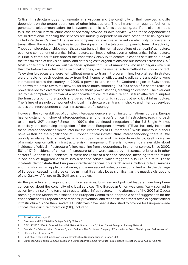Critical infrastructure does not operate in a vacuum and the continuity of their services is quite dependent on the proper operations of other infrastructure. The oil transmitter requires fuel for its generators, telecommunications for its systems, chemicals for its processing, etc. If one of these inputs fails, the critical infrastructure cannot optimally provide its own service. When these dependencies are bi-directional, meaning the services are mutually dependent on each other, these linkages are called *interdependencies*. 5 The telecom company, for example, is reliant on electricity to operate its transmitters, the electric utility is reliant on the signals from the telecom company to transmit electricity. These complex relationships mean that a disturbance in the normal operations of a critical infrastructure, even one component of a critical infrastructure, can impact other, even all other, critical infrastructure. In 1998, a computer failure aboard the Panamsat Galaxy IV telecommunications satellite shut down the transmission of television, radio, and data singles to organizations and businesses across the U.S.<sup>6</sup> Most significantly, it knocked out the pager systems for 90% of Americans who used pagers which, in the time before the widespread use of cellphones, was the most effective method for mobile contact. Television broadcasters were left without means to transmit programming, hospital administrators were unable to reach doctors away from their homes or offices, and credit card transactions were interrupted across the country. In 2005, a power failure, in the St. Gotthard region of Switzerland, shutdown the entire Swiss rail network for three hours, stranding 100,000 people.7 A short circuit in a power line led to a diversion of current to southern power stations, creating an overload. The overload led to the complete shutdown of a nation-wide critical infrastructure and, in turn affected, disrupted the transportation of the goods and personnel, some of which support other critical infrastructure. The failure of a single component of critical infrastructure can transmit shocks and interrupt services across the interdependent critical infrastructure of a country.

However, the vulnerabilities of complex interdependence are not limited to national borders. Europe has long-standing history of interdependence among nation's critical infrastructure, reaching back to the early  $20<sup>th</sup>$  century.<sup>8</sup> Since the 1990's, the continued integration of the EU Single Market, especially the continuing integration of the trans-European networks (TENs), has only increased these interdependencies which interlink the economies of EU members.<sup>9</sup> While numerous authors have written on the significance of European critical infrastructure interdependency, there is little publicly available data or analysis which scopes the size of this interdependency, itself indicative of a major gap on critical infrastructure risk management. There is, however, data available about incidence of critical infrastructure failure resulting from a dependency in another service. Since 2000, 501 of 1749 incidents of critical infrastructure failure were caused by infrastructure failures in other sectors.<sup>10</sup> Of those 501 incidents, 76 were the result of a second cascade, meaning that the failure in one service triggered a failure into a second service, which triggered a failure in a third. These incidents demonstrate that European interdependencies do stretch across multiple critical services and that shocks can ripple to first order, and even second order, connections. And while the damage of European cascading failures can be minimal, it can also be as significant as the massive disruptions of the Galaxy IV failure or St. Gotthard shutdown.

As the providers and regulators of critical services, business and political leaders have long been concerned about the continuity of critical services. The European Union was specifically spurred to action by the rise of the terrorist threat to critical infrastructure. In the aftermath of the 2004 al-Qaeda bombing of the Madrid train station, the European Commission adopted a set of suggestions for the enhancement of European preparedness, prevention, and response to terrorist attacks against critical infrastructure.<sup>11</sup> Since then, several EU initiatives have been established to provide for European-wide critical infrastructure protection (CIP), including:

<sup>5</sup> Rinaldi et al. supra, at 12

<sup>6</sup> Swanson and Kirk "Satellite Outage Felt By Millions."

<sup>7</sup> BBC UK "BBC NEWS | Europe | Swiss Rail Network Grinds to Halt"; "Short Circuit Paralysed Railway Network"

<sup>8</sup> See Van Der Vleuten et al. "Europe's System Builders: The Contested Shaping of Transnational Road, Electricity and Rail Networks." 9 Hämmerli et al. supra, at 13

<sup>10</sup> Luiijf et al. "Empirical Findings on Critical Infrastructure Dependencies in Europe." 304

<sup>11</sup> European Commission Communication on a European Programme for Critical Infrastructure Protection, 2006 O.J. C 786 final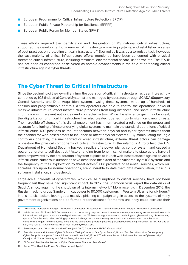- European Programme for Critical Infrastructure Protection (EPCIP)
- European Public-Private Partnership for Resilience (EPPPR)
- European Public Forum for Member States (EFMS)

These efforts required the identification and designation of MS national critical infrastructure, supported the development of a number of infrastructure warning systems, and established a series of best practices on protecting critical infrastructure.<sup>12</sup> Spurred as it was by a terrorist attack, however, the vast majority of critical infrastructure efforts mentioned have been concerned with physical threats to critical infrastructure, including terrorism, environmental hazard, user error, etc. The EPCIP has not been as concerned or delivered as notable advancements in the field of defending critical infrastructure against cyber threats.

#### The Cyber Threat to Critical Infrastructure

Since the beginning of the new millennium, the operation of critical infrastructure has been increasingly controlled by ICS (Industrial Control Systems) and managed by operators through SCADA (Supervisory Control Authority and Data Acquisition) systems. Using these systems, made up of hundreds of sensors and programmable controls, a few operators are able to control the operational flows of massive infrastructure, effect infrastructure processes from long distances, and share infrastructure information with relevant authorities and connected actors. While the efficiency gain may be great, the digitalization of critical infrastructure has also created opened it up to significant new threats. The incredible efficiency of this digital enablement has in turn created a reliance on the proper and accurate functioning of these underlying digital systems to maintain the standard operations of critical infrastructure. ICS' positions as the interlocutors between physical and cyber systems makes them the channel for web-based actors to influence or affect physical systems.13 By manipulating the logic controllers operating the mechanized or wired infrastructure, external threat actors can damage or destroy the physical components of critical infrastructure. In the infamous *Aurora* test, the U.S. Department of Homeland Security hacked a replica of a power plant's control system and caused a power generator to self-destruct.14 Actors ranging from lone mischief makers to state actors have all been empowered by the proliferation of system exploits to launch web-based attacks against physical infrastructure. Numerous authorities have described the extent of the vulnerability of ICS systems and the frequency of their exploitation by threat actors.<sup>15</sup> Our providers of essential services, which our societies rely upon for normal operations, are vulnerable to data theft, data manipulation, malicious software installation, and destruction.

Large-scale incidents of cyberattacks, which cause disruptions to critical services, have not been frequent but they have had significant impact. In 2012, the Shamoon virus wiped the data disks of Saudi Aramco, requiring the shutdown of its internal network.<sup>16</sup> More recently, in December 2016, the Russian hacking group Sandworm, cut power to 80,000 customers in Western Ukraine for six hours.<sup>17</sup> In this attack, hackers leveraged a massive phishing campaign to gain access to the systems of many government organizations and performed reconnaissance for months until they could escalate their

<sup>12</sup> Directorate-General for Energy – European Commission "Protection of Critical Infrastructure - Energy - European Commission."

<sup>13</sup> While the use of ICS and SCADA systems do not necessarily require connection to the Internet, the majority are connected to enable information-sharing and maintain the digital infrastructure. While some argue operators could mitigate cyberattacks by disconnecting systems from the web, called an 'air gap', there will always be some necessary connections to the web which attackers can compromise to gain network access (including file exchanges, program patches, personal devices, etc.). Perelman, Barak. "Air Gap or Not, Why ICS/SCADA Networks Are at Risk | SecurityWeek.Com."

<sup>14</sup> Swearingen et al. "What You Need to Know (and Don't) About the AURORA Vulnerability."

<sup>15</sup> See Hathaway and Stewart "Cyber IV Feature: Taking Control of Our Cyber Future"; Bronk "Two Securities: How Contemporary Cyber Geopolitics Impacts Critical Infrastructure Protection."; Etzioni "The Private Sector: A Reluctant Partner in Cybersecurity."; Onyeji et al. "Cyber Security and Critical Energy Infrastructure."

<sup>16</sup> El Dahan "Saudi Arabia Warns on Cyber Defense as Shamoon Resurfaces."

<sup>17</sup> Zetter "The Ukrainian Power Grid Was Hacked Again."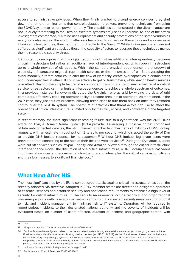access to administrative privileges. When they finally wanted to disrupt energy services, they shut down the remote-terminal units that control substation breakers, preventing technicians from using the SCADA system to restore power remotely. The capabilities demonstrated in the Ukraine attack are not uniquely threatening to the Ukraine, Western systems are just as vulnerable. As one of the attack investigators commented, "Ukraine uses equipment and security protections of the same vendors as everybody else around the world. If attackers learn how to go around these tools and appliances in Ukrainian infrastructures, they can then go directly to the West. "18 While Union members have not suffered as significant an attack as these, the capacity of actors to leverage these techniques makes them a reasonable security threat.

It important to recognize that this digitalization is not just an additional interdependency between critical infrastructure but rather an additional layer of interdependencies, which open infrastructure up to a whole new set of disruptions. Within the standard physical dependency, the shutdown of electricity infrastructure might disrupt health services or the transmission of oil. But leveraging the cyber modality, a threat actor could alter the flow of electricity, create overcapacities in certain areas and undercapacities in others. It could selectively target oil transmitters, while leaving health services unscathed. Beyond the simple failure of a component causing a sub-optimal or failure of a critical service, threat actors can manipulate interdependences to achieve a whole spectrum of outcomes. In a previous instance, Sandworm disrupted the Ukrainian energy grid by wiping the data of grid computers, effectively crippling operator ability to restore breakers to operation. As mentioned, in the 2017 case, they just shut-off breakers, allowing technicians to turn them back on once they restored control over the SCADA system. The spectrum of activities that threat actors can use to affect the operations of critical infrastructure is limited only by their will, access, and knowledge of the targeted system.

In recent memory, the most significant cascading failure, due to a cyberattack, was the 2016 DDos attack on Dyn, a Domain Name System (DNS) provider. Leveraging a massive botnet composed of Internet-connected devices, the still unknown attacker launched tens of millions of DNS lookup requests, with an estimate throughput of 1.2 terabits per second, which disrupted the ability of Dyn to provide DNS lookup requests for its customers.<sup>19</sup> Without DNS lookup, legitimate users were prevented from connecting to the host of their desired web services.<sup>20</sup> During the Dyn attacks, users were cut off services such as Paypal, Shopify, and Amazon. Viewed through the critical infrastructure interdependence model, the disruption of one critical infrastructure, a DNS lookup service, cascaded into financial services and ecommerce infrastructure and interrupted the critical services for citizens and their businesses, to significant financial cost.<sup>21</sup>

### What Next After NIS

The most significant step by the EU to combat cyberattacks against critical infrastructure has been the recently adopted NIS directive. Adopted in 2016, member states are directed to designate operators of essential services and establish security and notification requirements to establish a high level of security for critical infrastructure. <sup>22</sup> The security requirements include technical and organizational measures proportional to operator risk, network and information system security measures proportional to risk, and incident management to minimize risk to IT systems. Operators will be required to report serious incidents to their designated national authority and the severity of incidents will be evaluated based on number of users affected, duration of incident, and geographic spread, with

<sup>18</sup> Ibid.

<sup>19</sup> Murgia and Kuchler "Cyber Attack Hits Hundreds of Websites."

<sup>20</sup> DNS, or Domain Name System, refers to the decentralized system linking entered domain names (ex. www.google.com) with the IP address which identifies the servers hosting desired content (ex. 213.81.154.222). As the IP addresses of associated with domain names must frequently change, dynamic DNS services manage requests to lookup the IP for a specific DNS. If a DNS service supporting a website is disrupted, the only method for users to connect to that website is to directly enter the website's IP address (which, unless it is static, is constantly subject to change).

<sup>21</sup> LaFrance "How Much Will Today's Internet Outage Cost?"

<sup>22</sup> Parliament and Council Directive 2016/1148 194/2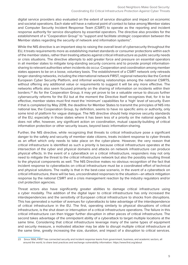digital service providers also evaluated on the extent of service disruption and impact on economic and societal operations. Each state will have a national point of contact to liaise among Member states and Computer Security Incident Response Team (CSIRT) to operate as the reporting and incident response authority for service disruptions by essential operators. The directive also provides for the establishment of a "Cooperation Group" to "support and facilitate *strategic* cooperation between the Member states regarding the security of network and information systems".

While the NIS directive is an important step to raising the overall level of cybersecurity throughout the EU, it treats requirements more as establishing market standards or consumer protections within each of the member states, rather than treating attacks against critical infrastructure as public security needs or crisis situations. The directive attempts to add greater force and pressure on essential operators in all member states to mitigate long-standing security concerns and to provide prompt informationsharing to relevant authorities when incidents do occur. Cooperation and coordination among member states appears to be on a loose, voluntary basis. The establishment of a CSIRT network only retreads longer-standing networks, including the international network FIRST, regional networks like the Central European Cyber Security Platform, and informal working relationships among the national CSIRTS, without offering any additional value or requirements to suggest it will be any more effective. The networks efforts also seem focused primarily on the sharing of information on incidents within their borders.23 As for the Cooperation Group, it may yet prove to be a valuable venue to discuss further cybersecurity reforms for the EU but at the moment the Directive itself recognizes that, for it to be effective, member states must first meet the 'minimum' capabilities for a 'high' level of security. Even if that is completed by May 2018, the deadline for Member States to transmit the principles of NIS into national law, the Cooperation Group, by definition, seems to have no specific aims or authority, only some kind of platform for vague dialogue. The NIS directive should help improve security standards of the EU, especially in those states where it has been less of a priority on the national agenda. It does not offer, however, any significant action on coordination, mutual capacity-building of critical information protection or other security issues, beyond basic information-sharing.

Further, the NIS directive, while recognizing that threats to critical infrastructure pose a significant danger to the safety and security of member state citizens, treats incident response to cyber threats as an effort which only needs to take place on the cyber-plane. However, the very reason that critical infrastructure is identified as such a priority is because critical infrastructure operates at the intersection of the cyber and physical domains and attacks on network infrastructure can produce physical effects. In the event of a cyberattack on a critical infrastructure, responders may not only need to mitigate the threat to the critical infrastructure network but also the possibly resulting threat to the physical components as well. The NIS Directive makes no obvious recognition of the fact that incident response to cyberattacks on critical infrastructure must be a coordinated effort of technical and physical solutions. The reality is that in the best-case scenario, in the event of a cyberattack on critical infrastructure, there will be two, uncoordinated responses to the situation—an attack mitigation response by the national CSIRT and a crisis management reaction by the industry regulators and/or civil protection agencies.

Threat actors also have significantly greater abilities to damage critical infrastructure using a cyber modality. The addition of the digital layer to critical infrastructure has only increased the interdependencies and the sensitivity of European critical infrastructure to shocks from disruptions. This has generated a number of avenues for cyberattacks to take advantage of the interdependence of critical infrastructure in the EU. The first, operating similarly to physical disruptions of critical infrastructure, is the shut down or interruption of a critical infrastructure operations. The failure in this critical infrastructure can then trigger further disruption in other pieces of critical infrastructure. The second takes advantage of the omnipotent ability of a cyberattack to target multiple locations at the same time. Considering that critical infrastructure leverage many of the same types of equipment and security measure, a motivated attacker may be able to disrupt multiple critical infrastructure at the same time, greatly increasing the size, duration, and impact of a disruption to critical services.

<sup>23</sup> Since 1990, FIRST has connected security and incident response teams from government, business, and academic sectors, all around the world, to share best practices and exchange vulnerability information. https://www.first.org/about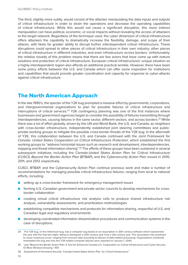The third, slightly more subtly, would consist of the attacker manipulating the data inputs and outputs of critical infrastructure in order to strain the operations and decrease the operating capabilities of critical infrastructure. While this would not cause a significant disruption, this more indirect manipulation can have political, economic, or social impacts without revealing the access of attackers to the target network. Regardless of the technique used, the cyber dimension of critical infrastructure offers attackers the capability to dramatically increase the flexibility, damage, and scope of their attacks, with likely far greater ability to disrupt further interdependent critical infrastructure. These disruptions could spread to other pieces of critical infrastructure in their own industry, other pieces of critical infrastructure in different industries, and even infrastructure across borders. Unfortunately, the relative novelty of this problem means that there are few actors that have come up with mature solutions and protection of critical infrastructure. European critical infrastructures' unique situation as a highly interdependent region also affords an additional practical wrinkle. However, there have been some policy efforts between the U.S. and Canada which can offer some inspiration for institutions and capabilities that would provide greater coordination and capacity for response to cyber-attacks against critical infrastructure.

# The North American Approach

In the late 1990's, the specter of the Y2K bug prompted a massive effort by governments, corporations, and intergovernmental organizations to plan for possible failures of critical infrastructure and interruptions of critical services.<sup>24</sup> Y2K contingency planning was one of the first instances where businesses and government agencies began to consider the possibility of failures transmitting through interdependencies, causing failures in the same sector, different sectors, and across borders.<sup>25</sup> While there was a lot of effort globally, driven by the UN and World Bank, the U.S. and Canada, as neighbors with cross-border infrastructure, independently established joint steering committees and publicprivate working groups to mitigate the possible cross-border threats of the Y2K bug. In the aftermath of Y2K, this collaboration between the U.S. and Canada continued with the *Joint Framework for Canada- United States Cooperation on Critical Infrastructure Protection*, which established the first working groups to "address horizontal issues such as research and development, interdependencies, mapping and threat information-sharing".26 The efforts of these groups have been sustained in several subsequent initiatives including the *Canada-United States Action Plan for Critical Infrastructure*  (CUSCI), *Beyond the Border Action Plan* (BTBAP), and the *Cybersecurity Action Plan* issued in 2010, 2011, and 2012 respectively.

CUSCI, BTBAP, and the Cybersecurity Action Plan continue previous work and make a number of recommendations for managing possible critical infrastructure failures, ranging from local to national efforts, including:

- setting up a cross-border framework for emergency management issues
- forming U.S.-Canadian government and private sector councils to develop mechanisms for crossborder collaboration
- creating virtual critical infrastructure risk analysis cells to produce shared infrastructure risk analysis, vulnerability assessments, and prioritization methodologies
- establishing compatible mechanisms and protocols for information-sharing, respectful of U.S. and Canadian legal and regulatory environments
- developing coordinated information dissemination procedures and communication systems in the case of disruptions.

10

<sup>24</sup> The Y2K bug, or the millennium bug, was a computer bug based on an assumption in 20th century software which represented the year with the final two digits, failing to distinguish a 20th century year from a 21st century year. This assumption was predicted to cause numerous errors, ranging from incorrect date recording to failures of date-related processing. Organizations worldwide remediated the bug and very few Y2K-related computer failures were reported on January 1, 2000.

<sup>25</sup> Laat "Beyond the Border Action Plan: A Tool for Enhanced Canada-U.S. Cooperation on Critical Infrastructure and Cyber Security - Or More Window Dressing." 455

<sup>26</sup> Department of Homeland Security "Canada-United States Action Plan for Critical Infrastructure"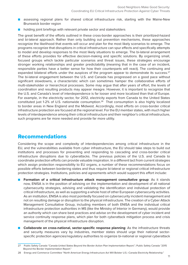- assessing regional plans for shared critical infrastructure risk, starting with the Maine-New Brunswick border region
- holding joint briefings with relevant private sector and stakeholders

The great benefit of the efforts outlined in these cross-border approaches is their prioritized-hazard and bi-lateral approach. Rather than only building out prevention mechanisms, these approaches recognize the likelihood that events will occur and plan for the most likely scenarios to emerge. The programs recognize that disruptions in critical infrastructure can spur effects and specifically attempts to model and develop responses to the most likely situations to emerge. The bi-lateral arrangement of these efforts provides for effective decision-making and specific solutions. By organizing small, focused groups which tackle particular scenarios and threat issues, these strategies encourage stronger working relationships and greater predictability (meaning that in the case of an incident, responsible parties have a better sense for how their counterparts will react). The continuing and expanded bilateral efforts under the auspices of the program appear to demonstrate its success.<sup>27</sup> The bi-lateral engagement between the U.S. and Canada has progressed on a good pace without significant slowdowns, a characteristic which can sometimes hamper the collaborative efforts of multi-stakeholder or hierarchical processes. Some may argue that after years of effort, the levels of coordination and resulting products may appear meagre. However, it is important to recognize that the U.S. and Canada's level of interdependence is far looser and more localized than that of Europe. For example, in the electricity sector, for 2012, electricity exports from Canada to the United States constituted just 1-2% of U.S. nationwide consumption.<sup>28</sup> That consumption is also highly localized to border areas in New England and the Midwest. Accordingly, most efforts on cross-border critical infrastructure protection are focused at the regional level. For the EU member states, with much higher levels of interdependence among their critical infrastructure and their neighbor's critical infrastructure, such programs are far more needed and provide far more utility.

### Recommendations

Considering the scope and complexity of interdependencies among critical infrastructure in the EU, and the vulnerabilities available from cyber infrastructure, the EU should take steps to build out institutions and processes for preventing and responding to cascading and cross-border critical infrastructure disruptions due to cyberattacks. The previous policies of the U.S. and Canada to coordinate protection efforts can provide valuable inspiration. In a different tact from current strategies which assign protection responsibility to EU organs, a number of these recommendations focus on possible efforts between bordering states and thus require bi-lateral or regional critical infrastructure protection strategies. Institutions, policies and agreements which would support this effort include:

- **Formation of a critical infrastructure attack management consultative group**: As it stands now, ENISA is in the position of advising on the implementation and development of all national cybersecurity strategies, advising and validating the identification and individual protection of critical infrastructure, as well as supporting a whole host of other European cybersecurity activities. As an institution, ENISA is also most pointedly focused on cybersecurity incident management and not on resulting damage or disruption to the physical infrastructure. The creation of a Cyber Attack Management Consultative Group, including members of both ENISA and the individual critical infrastructure protection authorities in MS (like the Ministry of Interior in Germany), would provide an authority which can share best practices and advise on the development of cyber incident and service continuity response plans, which plan for both cyberattack mitigation process and crisis management of the physical infrastructure disruption.
- **Collaborate on cross-national, sector-specific response planning**: As the infrastructure threats and security measures vary by industries, member states should urge their national sectorspecific protection agencies/regulatory authorities to organize bi-national or regional cyberattack

<sup>27</sup> Public Safety Canada "Canada-United States Beyond the Border Action Plan Implementation Report."; Public Safety Canada "2015 Beyond the Border Implementation Report."

<sup>28</sup> Energy and Commerce Committee "North American Energy Infrastructure Act Will Bolster U.S.–Canada Electricity Relationship."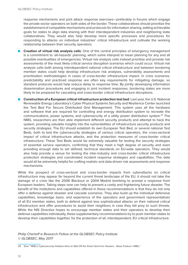response mechanisms and joint attack response exercises—preferably in forums which engage the private sector operators on both sides of the border. These collaboratives should prioritize the establishment of compatible mechanisms and protocols for information-sharing, setting achievable goals for states to align data sharing with their interdependent industries and neighboring state collaboratives. They would also help develop more specific processes and procedures for responding to attacks on individual industries' critical infrastructure and cultivate the working relationship between their security operators.

- **Creation of virtual risk analysis cells:** One of the central principles of emergency management is a commitment to 'all-hazards' planning, which some interpret to mean planning for any and all possible eventualities of emergencies. Virtual risk analysis cells instead prioritize and provide risk assessments of the most likely critical service disruption scenarios which could occur. Virtual risk analysis cells both among interdependent national critical infrastructure and between bordering member states could help develop infrastructure risk analyses, vulnerability assessments and prioritization methodologies in cases of cross-border infrastructure impact. In crisis scenarios, predictability and practiced response are often key requirements for mitigating damage, so standard protocols would help reduce delay to response time. By jointly developing information dissemination procedures and engaging in joint incident responses, bordering states are more likely to be prepared for cascading and cross-border critical infrastructure disruptions.
- **Construction of a European critical infrastructure protection test bed:** Last year, the U.S. National Renewable Energy Laboratory's Cyber Physical Systems Security and Resilience Center launched the Test Bed For Secure Distributed Grid Management. This system uses all the hardware and software that are required for controlling and energy distribution system to recreate the communications, power systems, and cybersecurity of a utility power distribution system.<sup>29</sup> The NREL researchers are then able implement different security products and attempt to hack the system, providing valuable insights into the vulnerabilities of infrastructure security products and security strategies. The EU should establish its own European Test Bed, or several national Test Beds, both to test the cybersecurity strategies of various critical operators, the cross-sectoral impact of critical infrastructure attacks, and the protection measures of cross-border critical infrastructure. These Test Beds would be extremely valuable for testing the security strategies of essential service operators, confirming that they meet a high degree of security and even providing enough data to set defined, technical standards on EU-wide operators. They would also help provide a venue for testing the inter-industry and cross-border critical infrastructure protection strategies and coordinated incident response strategies and capabilities. The data would all be extremely helpful for crafting realistic and data-driven risk assessments and response mechanisms.

While the prospect of cross-sectoral and cross-border impacts from cyberattacks on critical infrastructure may appear far beyond the current threat landscape of the EU, it should not take the damage of a crisis like the 2006 Blackout or 2004 Madrid bombing to prompt a response from European leaders. Taking steps now can help to prevent a costly and frightening future disaster. The benefit of the institutions and capabilities offered in these recommendations is that they do not only offer a defense against disaster and cascade scenarios. They also build up the individual defensive capabilities, knowledge basis, and experience of the operators and government representatives of all EU member states, both to defend against less sophisticated attacks on their national critical infrastructure and offer procedures to assist their neighbors in case they fall prey to such threats. While the NIS Directive hopes to encourage member states and their operators to develop their defense capabilities individually, these supplementary recommendations try to push member states to develop their capabilities together, for the protection of all, interdependent, EU critical infrastructure.

*Philip Chertoff is Research Fellow at the GLOBSEC Policy Institute © GLOBSEC, May 2017*

<sup>29</sup> Eber "NREL's Cybersecurity Initiative Aims to Wall Off the Smart Grid from Hackers - News Feature | NREL."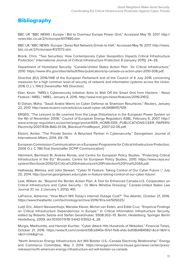# **Bibliography**

BBC UK "BBC NEWS | Europe | Bid to Overhaul Europe Power Grid." Accessed May 19, 2017. http:// news.bbc.co.uk/2/hi/europe/6117880.stm.

BBC UK "BBC NEWS | Europe | Swiss Rail Network Grinds to Halt." Accessed May 19, 2017. http://news. bbc.co.uk/2/hi/europe/4121072.stm.

Bronk, Chris. "Two Securities: How Contemporary Cyber Geopolitics Impacts Critical Infrastructure Protection." International Journal of Critical Infrastructure Protection 8 (January 2015): 24–26.

Department of Homeland Security. "Canada-United States Action Plan for Critical Infrastructure," 2010. https://www.dhs.gov/sites/default/files/publications/ip-canada-us-action-plan-2010-508.pdf.

Directive (EU) 2016/1148 of the European Parliament and of the Council of 6 July 2016 concerning measures for a high common level of security of network and information systems across the Union, 2016 O.J. L 194/2 [hereinafter NIS Directive]

Eber, Kevin. "NREL's Cybersecurity Initiative Aims to Wall Off the Smart Grid from Hackers - News Feature | NREL." NREL, January 4, 2016. http://www.nrel.gov/news/features/2016/21612.

El Dahan, Maha. "Saudi Arabia Warns on Cyber Defense as Shamoon Resurfaces." Reuters, January 23, 2017. http://www.reuters.com/article/us-saudi-cyber-idUSKBN1571ZR.

ERGEG. "The Lessons to Be Learned from the Large Disturbance in the European Power System on the 4th of November 2006." Council of European Energy Regulators ASBL, February 6, 2007. http:// www.energy-regulators.eu/portal/page/portal/EER\_HOME/EER\_PUBLICATIONS/CEER\_PAPERS/ Electricity/2007/E06-BAG-01-06\_Blackout-FinalReport\_2007-02-06.pdf.

Etzioni, Amitai. "The Private Sector: A Reluctant Partner in Cybersecurity." Georgetown Journal of International Affairs, 2014, 69–78.

European Commission Communication on a European Programme for Critical Infrastructure Protection, 2006 O.J. C 786 final [hereinafter ECPIP Communication]

Hämmerli, Bernhard M, Andrea Renda, and Centre for European Policy Studies. "Protecting Critical Infrastructure in the EU." Brussels: Centre for European Policy Studies, 2010. https://www.ceps.eu/ system/files/book/2010/12/Critical%20Infrastructure%20Protection%20Final%20A4.pdf.

Hathaway, Melissa, and John Stewart. "Cyber IV Feature: Taking Control of Our Cyber Future |," July 25, 2014. http://journal.georgetown.edu/cyber-iv-feature-taking-control-of-our-cyber-future/.

Laat, William de. "Beyond the Border Action Plan: A Tool for Enhanced Canada-U.S. Cooperation on Critical Infrastructure and Cyber Security - Or More Window Dressing." Canada-United States Law Journal 37, no. 2 (January 1, 2012): 451.

LaFrance, Adrienne. "How Much Will Today's Internet Outage Cost?" The Atlantic, October 21, 2016. https://www.theatlantic.com/technology/archive/2016/10/a-lot/505025/.

Luiijf, Eric, Albert Nieuwenhuijs, Marieke Klaver, Michel van Eeten, and Edite Cruz. "Empirical Findings on Critical Infrastructure Dependencies in Europe." In Critical Information Infrastructure Security, edited by Roberto Setola and Stefan Geretshuber, 5508:302–10. Berlin, Heidelberg: Springer Berlin Heidelberg, 2009. doi:10.1007/978-3-642-03552-4\_28.

Murgia, Madhumita, and Hannah Kuchler. "Cyber Attack Hits Hundreds of Websites." Financial Times, October 21, 2016. https://www.ft.com/content/08ca940e-97a1-11e6-a1dc-bdf38d484582+&cd=1&hl=e n&ct=clnk&gl=us.

"North American Energy Infrastructure Act Will Bolster U.S.–Canada Electricity Relationship." Energy and Commerce Committee, May 7, 2014. https://energycommerce.house.gov/news-center/pressreleases/north-american-energy-infrastructure-act-will-bolster-us-canada.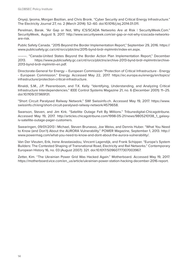Onyeji, Ijeoma, Morgan Bazilian, and Chris Bronk. "Cyber Security and Critical Energy Infrastructure." The Electricity Journal 27, no. 2 (March 2014): 52–60. doi:10.1016/j.tej.2014.01.011.

Perelman, Barak. "Air Gap or Not, Why ICS/SCADA Networks Are at Risk | SecurityWeek.Com." SecurityWeek, August 9, 2017. http://www.securityweek.com/air-gap-or-not-why-icsscada-networksare-risk.

Public Safety Canada. "2015 Beyond the Border Implementation Report," September 29, 2016. https:// www.publicsafety.gc.ca/cnt/rsrcs/pblctns/2015-bynd-brdr-mplmntn/index-en.aspx.

———. "Canada-United States Beyond the Border Action Plan Implementation Report," December 2013. https://www.publicsafety.gc.ca/cnt/rsrcs/pblctns/archive-2013-bynd-brdr-mplmntn/archive-2013-bynd-brdr-mplmntn-en.pdf.

Directorate-General for Energy – European Commission "Protection of Critical Infrastructure - Energy - European Commission." Energy. Accessed May 22, 2017. https://ec.europa.eu/energy/en/topics/ infrastructure/protection-critical-infrastructure.

Rinaldi, S.M., J.P. Peerenboom, and T.K. Kelly. "Identifying, Understanding, and Analyzing Critical Infrastructure Interdependencies." IEEE Control Systems Magazine 21, no. 6 (December 2001): 11–25. doi:10.1109/37.969131.

"Short Circuit Paralysed Railway Network." SWI Swissinfo.ch. Accessed May 19, 2017. https://www. swissinfo.ch/eng/short-circuit-paralysed-railway-network/4579658.

Swanson, Steven, and Jim Kirk. "Satellite Outage Felt By Millions." Tribunedigital-Chicagotribune. Accessed May 19, 2017. http://articles.chicagotribune.com/1998-05-21/news/9805210138\_1\_galaxyiv-satellite-outage-pager-customers.

Swearingen, 09/01/2013 | Michael, Steven Brunasso, Joe Weiss, and Dennis Huber. "What You Need to Know (and Don't) About the AURORA Vulnerability." POWER Magazine, September 1, 2013. http:// www.powermag.com/what-you-need-to-know-and-dont-about-the-aurora-vulnerability/.

Van Der Vleuten, Erik, Irene Anastasiadou, Vincent Lagendijk, and Frank Schipper. "Europe's System Builders: The Contested Shaping of Transnational Road, Electricity and Rail Networks." Contemporary European History 16, no. 03 (August 2007): 321. doi:10.1017/S0960777307003967.

Zetter, Kim. "The Ukrainian Power Grid Was Hacked Again." Motherboard. Accessed May 19, 2017. https://motherboard.vice.com/en\_us/article/ukrainian-power-station-hacking-december-2016-report.